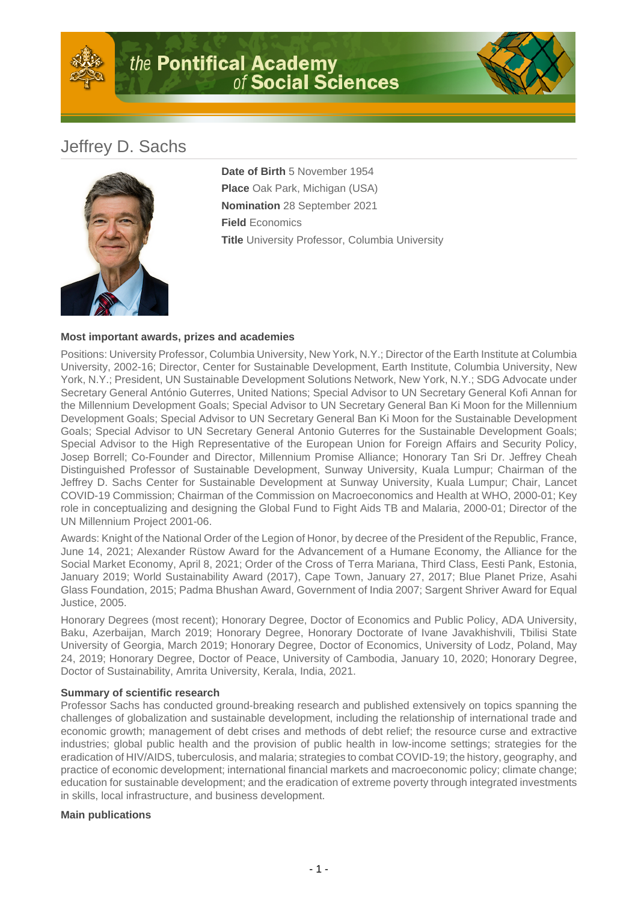

## Jeffrey D. Sachs



**Date of Birth** 5 November 1954 **Place** Oak Park, Michigan (USA) **Nomination** 28 September 2021 **Field** Economics **Title** University Professor, Columbia University

## **Most important awards, prizes and academies**

Positions: University Professor, Columbia University, New York, N.Y.; Director of the Earth Institute at Columbia University, 2002-16; Director, Center for Sustainable Development, Earth Institute, Columbia University, New York, N.Y.; President, UN Sustainable Development Solutions Network, New York, N.Y.; SDG Advocate under Secretary General António Guterres, United Nations; Special Advisor to UN Secretary General Kofi Annan for the Millennium Development Goals; Special Advisor to UN Secretary General Ban Ki Moon for the Millennium Development Goals; Special Advisor to UN Secretary General Ban Ki Moon for the Sustainable Development Goals; Special Advisor to UN Secretary General Antonio Guterres for the Sustainable Development Goals; Special Advisor to the High Representative of the European Union for Foreign Affairs and Security Policy, Josep Borrell; Co-Founder and Director, Millennium Promise Alliance; Honorary Tan Sri Dr. Jeffrey Cheah Distinguished Professor of Sustainable Development, Sunway University, Kuala Lumpur; Chairman of the Jeffrey D. Sachs Center for Sustainable Development at Sunway University, Kuala Lumpur; Chair, Lancet COVID-19 Commission; Chairman of the Commission on Macroeconomics and Health at WHO, 2000-01; Key role in conceptualizing and designing the Global Fund to Fight Aids TB and Malaria, 2000-01; Director of the UN Millennium Project 2001-06.

Awards: Knight of the National Order of the Legion of Honor, by decree of the President of the Republic, France, June 14, 2021; Alexander Rüstow Award for the Advancement of a Humane Economy, the Alliance for the Social Market Economy, April 8, 2021; Order of the Cross of Terra Mariana, Third Class, Eesti Pank, Estonia, January 2019; World Sustainability Award (2017), Cape Town, January 27, 2017; Blue Planet Prize, Asahi Glass Foundation, 2015; Padma Bhushan Award, Government of India 2007; Sargent Shriver Award for Equal Justice, 2005.

Honorary Degrees (most recent); Honorary Degree, Doctor of Economics and Public Policy, ADA University, Baku, Azerbaijan, March 2019; Honorary Degree, Honorary Doctorate of Ivane Javakhishvili, Tbilisi State University of Georgia, March 2019; Honorary Degree, Doctor of Economics, University of Lodz, Poland, May 24, 2019; Honorary Degree, Doctor of Peace, University of Cambodia, January 10, 2020; Honorary Degree, Doctor of Sustainability, Amrita University, Kerala, India, 2021.

## **Summary of scientific research**

Professor Sachs has conducted ground-breaking research and published extensively on topics spanning the challenges of globalization and sustainable development, including the relationship of international trade and economic growth; management of debt crises and methods of debt relief; the resource curse and extractive industries; global public health and the provision of public health in low-income settings; strategies for the eradication of HIV/AIDS, tuberculosis, and malaria; strategies to combat COVID-19; the history, geography, and practice of economic development; international financial markets and macroeconomic policy; climate change; education for sustainable development; and the eradication of extreme poverty through integrated investments in skills, local infrastructure, and business development.

## **Main publications**